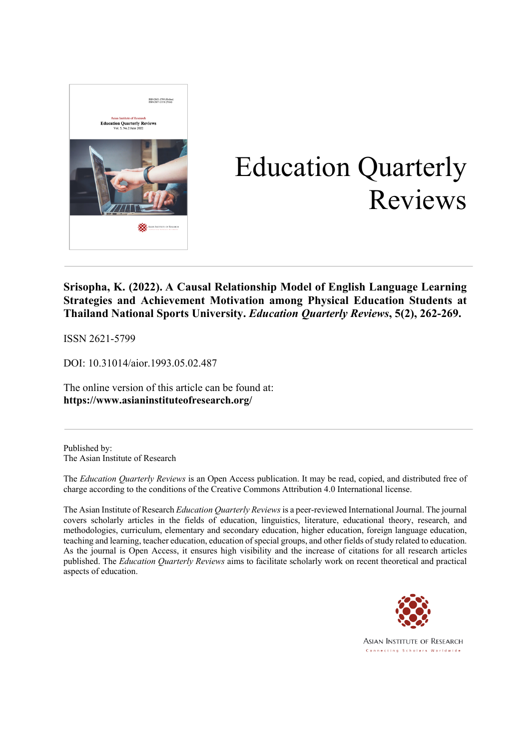

# Education Quarterly Reviews

### **Srisopha, K. (2022). A Causal Relationship Model of English Language Learning Strategies and Achievement Motivation among Physical Education Students at Thailand National Sports University.** *Education Quarterly Reviews***, 5(2), 262-269.**

ISSN 2621-5799

DOI: 10.31014/aior.1993.05.02.487

The online version of this article can be found at: **https://www.asianinstituteofresearch.org/**

Published by: The Asian Institute of Research

The *Education Quarterly Reviews* is an Open Access publication. It may be read, copied, and distributed free of charge according to the conditions of the Creative Commons Attribution 4.0 International license.

The Asian Institute of Research *Education Quarterly Reviews* is a peer-reviewed International Journal. The journal covers scholarly articles in the fields of education, linguistics, literature, educational theory, research, and methodologies, curriculum, elementary and secondary education, higher education, foreign language education, teaching and learning, teacher education, education of special groups, and other fields of study related to education. As the journal is Open Access, it ensures high visibility and the increase of citations for all research articles published. The *Education Quarterly Reviews* aims to facilitate scholarly work on recent theoretical and practical aspects of education.



**ASIAN INSTITUTE OF RESEARCH** Connecting Scholars Worldwide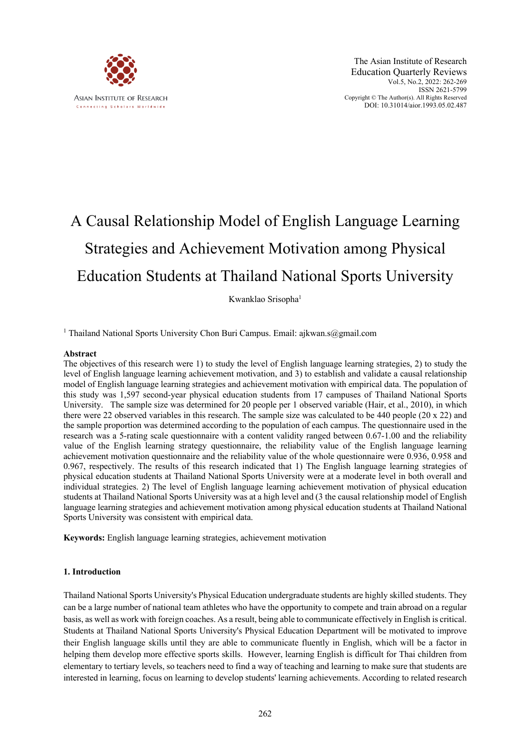

## A Causal Relationship Model of English Language Learning Strategies and Achievement Motivation among Physical Education Students at Thailand National Sports University

Kwanklao Srisopha<sup>1</sup>

<sup>1</sup> Thailand National Sports University Chon Buri Campus. Email: ajkwan.s@gmail.com

#### **Abstract**

The objectives of this research were 1) to study the level of English language learning strategies, 2) to study the level of English language learning achievement motivation, and 3) to establish and validate a causal relationship model of English language learning strategies and achievement motivation with empirical data. The population of this study was 1,597 second-year physical education students from 17 campuses of Thailand National Sports University. The sample size was determined for 20 people per 1 observed variable (Hair, et al., 2010), in which there were 22 observed variables in this research. The sample size was calculated to be 440 people (20 x 22) and the sample proportion was determined according to the population of each campus. The questionnaire used in the research was a 5-rating scale questionnaire with a content validity ranged between 0.67-1.00 and the reliability value of the English learning strategy questionnaire, the reliability value of the English language learning achievement motivation questionnaire and the reliability value of the whole questionnaire were 0.936, 0.958 and 0.967, respectively. The results of this research indicated that 1) The English language learning strategies of physical education students at Thailand National Sports University were at a moderate level in both overall and individual strategies. 2) The level of English language learning achievement motivation of physical education students at Thailand National Sports University was at a high level and (3 the causal relationship model of English language learning strategies and achievement motivation among physical education students at Thailand National Sports University was consistent with empirical data.

**Keywords:** English language learning strategies, achievement motivation

#### **1. Introduction**

Thailand National Sports University's Physical Education undergraduate students are highly skilled students. They can be a large number of national team athletes who have the opportunity to compete and train abroad on a regular basis, as well as work with foreign coaches. As a result, being able to communicate effectively in English is critical. Students at Thailand National Sports University's Physical Education Department will be motivated to improve their English language skills until they are able to communicate fluently in English, which will be a factor in helping them develop more effective sports skills. However, learning English is difficult for Thai children from elementary to tertiary levels, so teachers need to find a way of teaching and learning to make sure that students are interested in learning, focus on learning to develop students' learning achievements. According to related research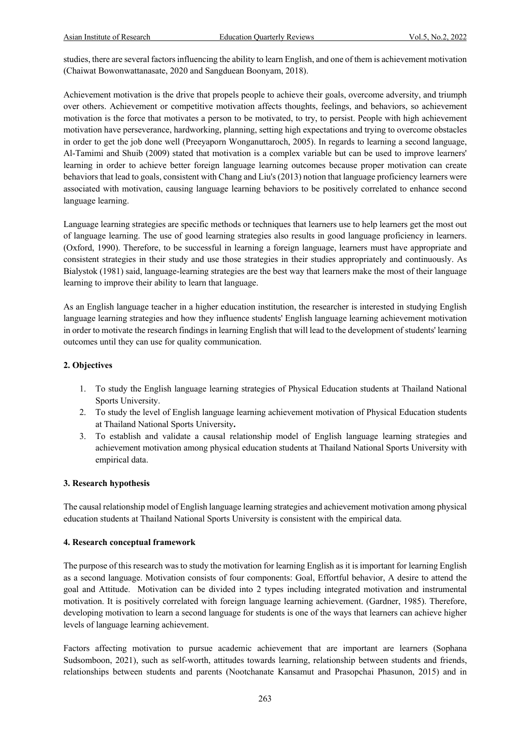studies, there are several factors influencing the ability to learn English, and one of them is achievement motivation (Chaiwat Bowonwattanasate, 2020 and Sangduean Boonyam, 2018).

Achievement motivation is the drive that propels people to achieve their goals, overcome adversity, and triumph over others. Achievement or competitive motivation affects thoughts, feelings, and behaviors, so achievement motivation is the force that motivates a person to be motivated, to try, to persist. People with high achievement motivation have perseverance, hardworking, planning, setting high expectations and trying to overcome obstacles in order to get the job done well (Preeyaporn Wonganuttaroch, 2005). In regards to learning a second language, Al-Tamimi and Shuib (2009) stated that motivation is a complex variable but can be used to improve learners' learning in order to achieve better foreign language learning outcomes because proper motivation can create behaviors that lead to goals, consistent with Chang and Liu's (2013) notion that language proficiency learners were associated with motivation, causing language learning behaviors to be positively correlated to enhance second language learning.

Language learning strategies are specific methods or techniques that learners use to help learners get the most out of language learning. The use of good learning strategies also results in good language proficiency in learners. (Oxford, 1990). Therefore, to be successful in learning a foreign language, learners must have appropriate and consistent strategies in their study and use those strategies in their studies appropriately and continuously. As Bialystok (1981) said, language-learning strategies are the best way that learners make the most of their language learning to improve their ability to learn that language.

As an English language teacher in a higher education institution, the researcher is interested in studying English language learning strategies and how they influence students' English language learning achievement motivation in order to motivate the research findings in learning English that will lead to the development of students' learning outcomes until they can use for quality communication.

#### **2. Objectives**

- 1. To study the English language learning strategies of Physical Education students at Thailand National Sports University.
- 2. To study the level of English language learning achievement motivation of Physical Education students at Thailand National Sports University**.**
- 3. To establish and validate a causal relationship model of English language learning strategies and achievement motivation among physical education students at Thailand National Sports University with empirical data.

#### **3. Research hypothesis**

The causal relationship model of English language learning strategies and achievement motivation among physical education students at Thailand National Sports University is consistent with the empirical data.

#### **4. Research conceptual framework**

The purpose of this research was to study the motivation for learning English as it is important for learning English as a second language. Motivation consists of four components: Goal, Effortful behavior, A desire to attend the goal and Attitude. Motivation can be divided into 2 types including integrated motivation and instrumental motivation. It is positively correlated with foreign language learning achievement. (Gardner, 1985). Therefore, developing motivation to learn a second language for students is one of the ways that learners can achieve higher levels of language learning achievement.

Factors affecting motivation to pursue academic achievement that are important are learners (Sophana Sudsomboon, 2021), such as self-worth, attitudes towards learning, relationship between students and friends, relationships between students and parents (Nootchanate Kansamut and Prasopchai Phasunon, 2015) and in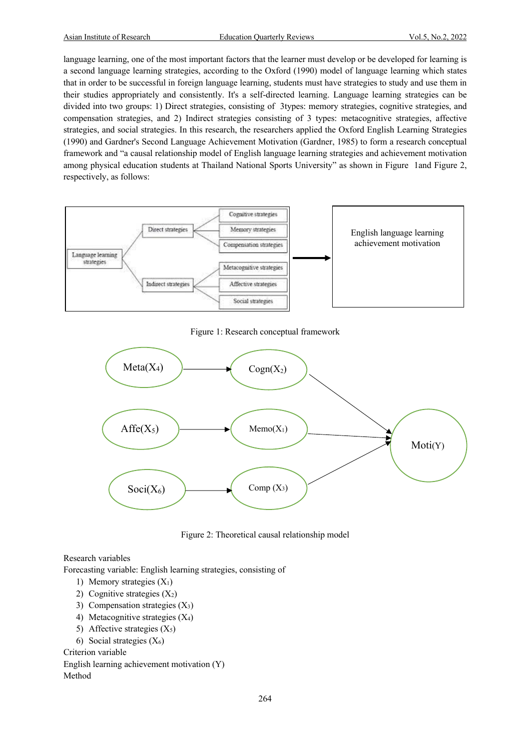language learning, one of the most important factors that the learner must develop or be developed for learning is a second language learning strategies, according to the Oxford (1990) model of language learning which states that in order to be successful in foreign language learning, students must have strategies to study and use them in their studies appropriately and consistently. It's a self-directed learning. Language learning strategies can be divided into two groups: 1) Direct strategies, consisting of 3types: memory strategies, cognitive strategies, and compensation strategies, and 2) Indirect strategies consisting of 3 types: metacognitive strategies, affective strategies, and social strategies. In this research, the researchers applied the Oxford English Learning Strategies (1990) and Gardner's Second Language Achievement Motivation (Gardner, 1985) to form a research conceptual framework and "a causal relationship model of English language learning strategies and achievement motivation among physical education students at Thailand National Sports University" as shown in Figure 1and Figure 2, respectively, as follows:



#### Figure 1: Research conceptual framework



Figure 2: Theoretical causal relationship model

Research variables

Forecasting variable: English learning strategies, consisting of

- 1) Memory strategies  $(X_1)$
- 2) Cognitive strategies  $(X_2)$
- 3) Compensation strategies (X3)
- 4) Metacognitive strategies (X4)
- 5) Affective strategies  $(X_5)$
- 6) Social strategies  $(X_6)$

Criterion variable

```
English learning achievement motivation (Y)
Method
```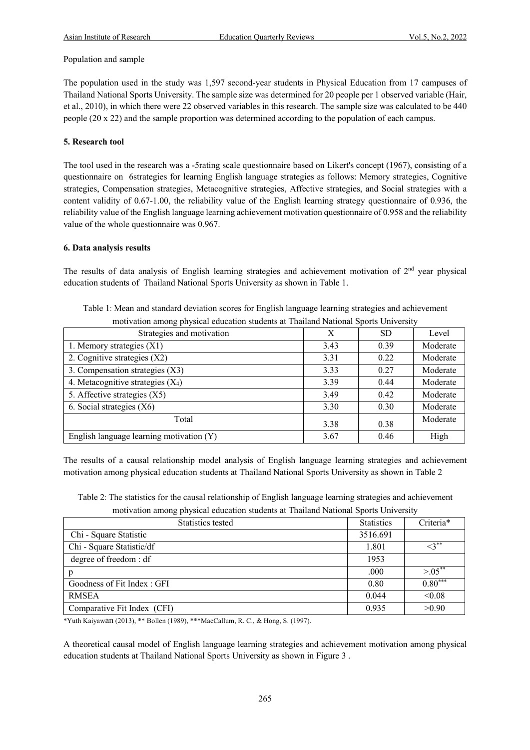#### Population and sample

The population used in the study was 1,597 second-year students in Physical Education from 17 campuses of Thailand National Sports University. The sample size was determined for 20 people per 1 observed variable (Hair, et al., 2010), in which there were 22 observed variables in this research. The sample size was calculated to be 440 people (20 x 22) and the sample proportion was determined according to the population of each campus.

#### **5. Research tool**

The tool used in the research was a -5rating scale questionnaire based on Likert's concept (1967), consisting of a questionnaire on 6strategies for learning English language strategies as follows: Memory strategies, Cognitive strategies, Compensation strategies, Metacognitive strategies, Affective strategies, and Social strategies with a content validity of 0.67-1.00, the reliability value of the English learning strategy questionnaire of 0.936, the reliability value of the English language learning achievement motivation questionnaire of 0.958 and the reliability value of the whole questionnaire was 0.967.

#### **6. Data analysis results**

The results of data analysis of English learning strategies and achievement motivation of  $2<sup>nd</sup>$  year physical education students of Thailand National Sports University as shown in Table 1.

| Table 1: Mean and standard deviation scores for English language learning strategies and achievement |
|------------------------------------------------------------------------------------------------------|
| motivation among physical education students at Thailand National Sports University                  |

| monvation among privilegated concentrative at Fightance Patrollar Sports Omversity |      |      |          |  |  |
|------------------------------------------------------------------------------------|------|------|----------|--|--|
| Strategies and motivation                                                          | Х    | SD   | Level    |  |  |
| 1. Memory strategies $(X1)$                                                        | 3.43 | 0.39 | Moderate |  |  |
| 2. Cognitive strategies (X2)                                                       | 3.31 | 0.22 | Moderate |  |  |
| 3. Compensation strategies (X3)                                                    | 3.33 | 0.27 | Moderate |  |  |
| 4. Metacognitive strategies $(X_4)$                                                | 3.39 | 0.44 | Moderate |  |  |
| 5. Affective strategies (X5)                                                       | 3.49 | 0.42 | Moderate |  |  |
| 6. Social strategies $(X6)$                                                        | 3.30 | 0.30 | Moderate |  |  |
| Total                                                                              | 3.38 | 0.38 | Moderate |  |  |
| English language learning motivation (Y)                                           | 3.67 | 0.46 | High     |  |  |

The results of a causal relationship model analysis of English language learning strategies and achievement motivation among physical education students at Thailand National Sports University as shown in Table 2

Table 2: The statistics for the causal relationship of English language learning strategies and achievement

|  | motivation among physical education students at Thailand National Sports University |
|--|-------------------------------------------------------------------------------------|
|  |                                                                                     |
|  |                                                                                     |

| Statistics tested           | <b>Statistics</b> | Criteria*     |
|-----------------------------|-------------------|---------------|
| Chi - Square Statistic      | 3516.691          |               |
| Chi - Square Statistic/df   | 1.801             | $\leq 3^{**}$ |
| degree of freedom: df       | 1953              |               |
| р                           | .000              | $> 0.05$ **   |
| Goodness of Fit Index: GFI  | 0.80              | $0.80***$     |
| <b>RMSEA</b>                | 0.044             | < 0.08        |
| Comparative Fit Index (CFI) | 0.935             | >0.90         |

\*Yuth Kaiyawan (2013), \*\* Bollen (1989), \*\*\*MacCallum, R. C., & Hong, S. (1997).

A theoretical causal model of English language learning strategies and achievement motivation among physical education students at Thailand National Sports University as shown in Figure 3 .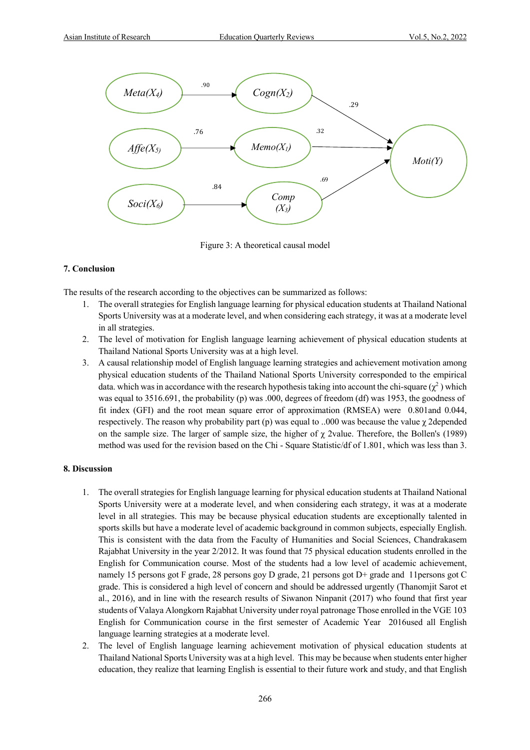

Figure 3: A theoretical causal model

#### **7. Conclusion**

The results of the research according to the objectives can be summarized as follows:

- 1. The overall strategies for English language learning for physical education students at Thailand National Sports University was at a moderate level, and when considering each strategy, it was at a moderate level in all strategies.
- 2. The level of motivation for English language learning achievement of physical education students at Thailand National Sports University was at a high level.
- 3. A causal relationship model of English language learning strategies and achievement motivation among physical education students of the Thailand National Sports University corresponded to the empirical data. which was in accordance with the research hypothesis taking into account the chi-square ( $\chi^2$ ) which was equal to 3516.691, the probability (p) was .000, degrees of freedom (df) was 1953, the goodness of fit index (GFI) and the root mean square error of approximation (RMSEA) were 0.801and 0.044, respectively. The reason why probability part (p) was equal to ..000 was because the value  $\chi$  2depended on the sample size. The larger of sample size, the higher of  $\chi$  2value. Therefore, the Bollen's (1989) method was used for the revision based on the Chi - Square Statistic/df of 1.801, which was less than 3.

#### **8. Discussion**

- 1. The overall strategies for English language learning for physical education students at Thailand National Sports University were at a moderate level, and when considering each strategy, it was at a moderate level in all strategies. This may be because physical education students are exceptionally talented in sports skills but have a moderate level of academic background in common subjects, especially English. This is consistent with the data from the Faculty of Humanities and Social Sciences, Chandrakasem Rajabhat University in the year 2/2012. It was found that 75 physical education students enrolled in the English for Communication course. Most of the students had a low level of academic achievement, namely 15 persons got F grade, 28 persons goy D grade, 21 persons got D+ grade and 11persons got C grade. This is considered a high level of concern and should be addressed urgently (Thanomjit Sarot et al., 2016), and in line with the research results of Siwanon Ninpanit (2017) who found that first year students of Valaya Alongkorn Rajabhat University under royal patronage Those enrolled in the VGE 103 English for Communication course in the first semester of Academic Year 2016used all English language learning strategies at a moderate level.
- 2. The level of English language learning achievement motivation of physical education students at Thailand National Sports University was at a high level. This may be because when students enter higher education, they realize that learning English is essential to their future work and study, and that English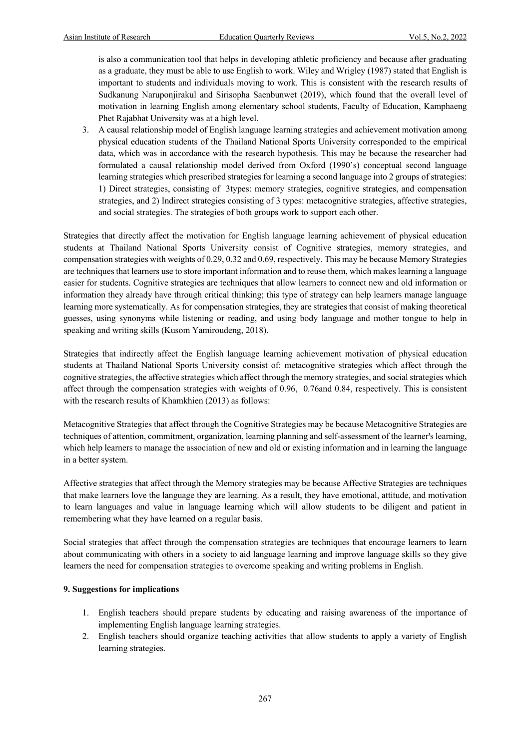is also a communication tool that helps in developing athletic proficiency and because after graduating as a graduate, they must be able to use English to work. Wiley and Wrigley (1987) stated that English is important to students and individuals moving to work. This is consistent with the research results of Sudkanung Naruponjirakul and Sirisopha Saenbunwet (2019), which found that the overall level of motivation in learning English among elementary school students, Faculty of Education, Kamphaeng Phet Rajabhat University was at a high level.

3. A causal relationship model of English language learning strategies and achievement motivation among physical education students of the Thailand National Sports University corresponded to the empirical data, which was in accordance with the research hypothesis. This may be because the researcher had formulated a causal relationship model derived from Oxford (1990's) conceptual second language learning strategies which prescribed strategies for learning a second language into 2 groups of strategies: 1) Direct strategies, consisting of 3types: memory strategies, cognitive strategies, and compensation strategies, and 2) Indirect strategies consisting of 3 types: metacognitive strategies, affective strategies, and social strategies. The strategies of both groups work to support each other.

Strategies that directly affect the motivation for English language learning achievement of physical education students at Thailand National Sports University consist of Cognitive strategies, memory strategies, and compensation strategies with weights of 0.29, 0.32 and 0.69, respectively. This may be because Memory Strategies are techniques that learners use to store important information and to reuse them, which makes learning a language easier for students. Cognitive strategies are techniques that allow learners to connect new and old information or information they already have through critical thinking; this type of strategy can help learners manage language learning more systematically. As for compensation strategies, they are strategies that consist of making theoretical guesses, using synonyms while listening or reading, and using body language and mother tongue to help in speaking and writing skills (Kusom Yamiroudeng, 2018).

Strategies that indirectly affect the English language learning achievement motivation of physical education students at Thailand National Sports University consist of: metacognitive strategies which affect through the cognitive strategies, the affective strategies which affect through the memory strategies, and social strategies which affect through the compensation strategies with weights of 0.96, 0.76and 0.84, respectively. This is consistent with the research results of Khamkhien (2013) as follows:

Metacognitive Strategies that affect through the Cognitive Strategies may be because Metacognitive Strategies are techniques of attention, commitment, organization, learning planning and self-assessment of the learner's learning, which help learners to manage the association of new and old or existing information and in learning the language in a better system.

Affective strategies that affect through the Memory strategies may be because Affective Strategies are techniques that make learners love the language they are learning. As a result, they have emotional, attitude, and motivation to learn languages and value in language learning which will allow students to be diligent and patient in remembering what they have learned on a regular basis.

Social strategies that affect through the compensation strategies are techniques that encourage learners to learn about communicating with others in a society to aid language learning and improve language skills so they give learners the need for compensation strategies to overcome speaking and writing problems in English.

#### **9. Suggestions for implications**

- 1. English teachers should prepare students by educating and raising awareness of the importance of implementing English language learning strategies.
- 2. English teachers should organize teaching activities that allow students to apply a variety of English learning strategies.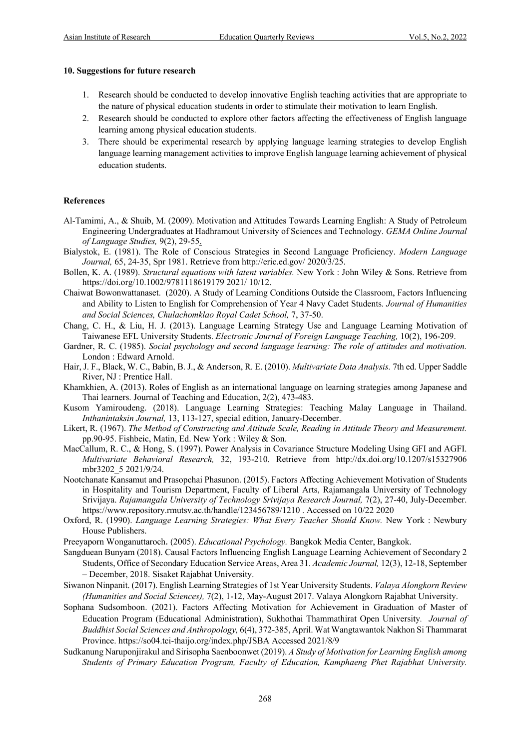#### **10. Suggestions for future research**

- 1. Research should be conducted to develop innovative English teaching activities that are appropriate to the nature of physical education students in order to stimulate their motivation to learn English.
- 2. Research should be conducted to explore other factors affecting the effectiveness of English language learning among physical education students.
- 3. There should be experimental research by applying language learning strategies to develop English language learning management activities to improve English language learning achievement of physical education students.

#### **References**

- Al-Tamimi, A., & Shuib, M. (2009). Motivation and Attitudes Towards Learning English: A Study of Petroleum Engineering Undergraduates at Hadhramout University of Sciences and Technology. *GEMA Online Journal of Language Studies,* 9(2), 29-55.
- Bialystok, E. (1981). The Role of Conscious Strategies in Second Language Proficiency. *Modern Language Journal,* 65, 24-35, Spr 1981. Retrieve from http://eric.ed.gov/ 2020/3/25.
- Bollen, K. A. (1989). *Structural equations with latent variables.* New York : John Wiley & Sons. Retrieve from https://doi.org/10.1002/9781118619179 2021/ 10/12.
- Chaiwat Bowonwattanaset. (2020). A Study of Learning Conditions Outside the Classroom, Factors Influencing and Ability to Listen to English for Comprehension of Year 4 Navy Cadet Students*. Journal of Humanities and Social Sciences, Chulachomklao Royal Cadet School,* 7, 37-50.
- Chang, C. H., & Liu, H. J. (2013). Language Learning Strategy Use and Language Learning Motivation of Taiwanese EFL University Students. *Electronic Journal of Foreign Language Teaching,* 10(2), 196-209.
- Gardner, R. C. (1985). *Social psychology and second language learning: The role of attitudes and motivation.* London : Edward Arnold.
- Hair, J. F., Black, W. C., Babin, B. J., & Anderson, R. E. (2010). *Multivariate Data Analysis.* 7th ed. Upper Saddle River, NJ : Prentice Hall.
- Khamkhien, A. (2013). Roles of English as an international language on learning strategies among Japanese and Thai learners. Journal of Teaching and Education, 2(2), 473-483.
- Kusom Yamiroudeng. (2018). Language Learning Strategies: Teaching Malay Language in Thailand. *Inthanintaksin Journal,* 13, 113-127, special edition, January-December.
- Likert, R. (1967). *The Method of Constructing and Attitude Scale, Reading in Attitude Theory and Measurement.* pp.90-95. Fishbeic, Matin, Ed. New York : Wiley & Son.
- MacCallum, R. C., & Hong, S. (1997). Power Analysis in Covariance Structure Modeling Using GFI and AGFI. *Multivariate Behavioral Research,* 32, 193-210. Retrieve from http://dx.doi.org/10.1207/s15327906 mbr3202\_5 2021/9/24.
- Nootchanate Kansamut and Prasopchai Phasunon. (2015). Factors Affecting Achievement Motivation of Students in Hospitality and Tourism Department, Faculty of Liberal Arts, Rajamangala University of Technology Srivijaya. *Rajamangala University of Technology Srivijaya Research Journal,* 7(2), 27-40, July-December. https://www.repository.rmutsv.ac.th/handle/123456789/1210 . Accessed on 10/22 2020
- Oxford, R. (1990). *Language Learning Strategies: What Every Teacher Should Know.* New York : Newbury House Publishers.
- Preeyaporn Wonganuttaroch. (2005). *Educational Psychology.* Bangkok Media Center, Bangkok.
- Sangduean Bunyam (2018). Causal Factors Influencing English Language Learning Achievement of Secondary 2 Students, Office of Secondary Education Service Areas, Area 31. *Academic Journal,* 12(3), 12-18, September – December, 2018. Sisaket Rajabhat University.
- Siwanon Ninpanit. (2017). English Learning Strategies of 1st Year University Students. *Valaya Alongkorn Review (Humanities and Social Sciences),* 7(2), 1-12, May-August 2017. Valaya Alongkorn Rajabhat University.
- Sophana Sudsomboon. (2021). Factors Affecting Motivation for Achievement in Graduation of Master of Education Program (Educational Administration), Sukhothai Thammathirat Open University*. Journal of Buddhist Social Sciences and Anthropology,* 6(4), 372-385, April. Wat Wangtawantok Nakhon Si Thammarat Province. https://so04.tci-thaijo.org/index.php/JSBA Accessed 2021/8/9
- Sudkanung Naruponjirakul and Sirisopha Saenboonwet (2019). *A Study of Motivation for Learning English among Students of Primary Education Program, Faculty of Education, Kamphaeng Phet Rajabhat University.*